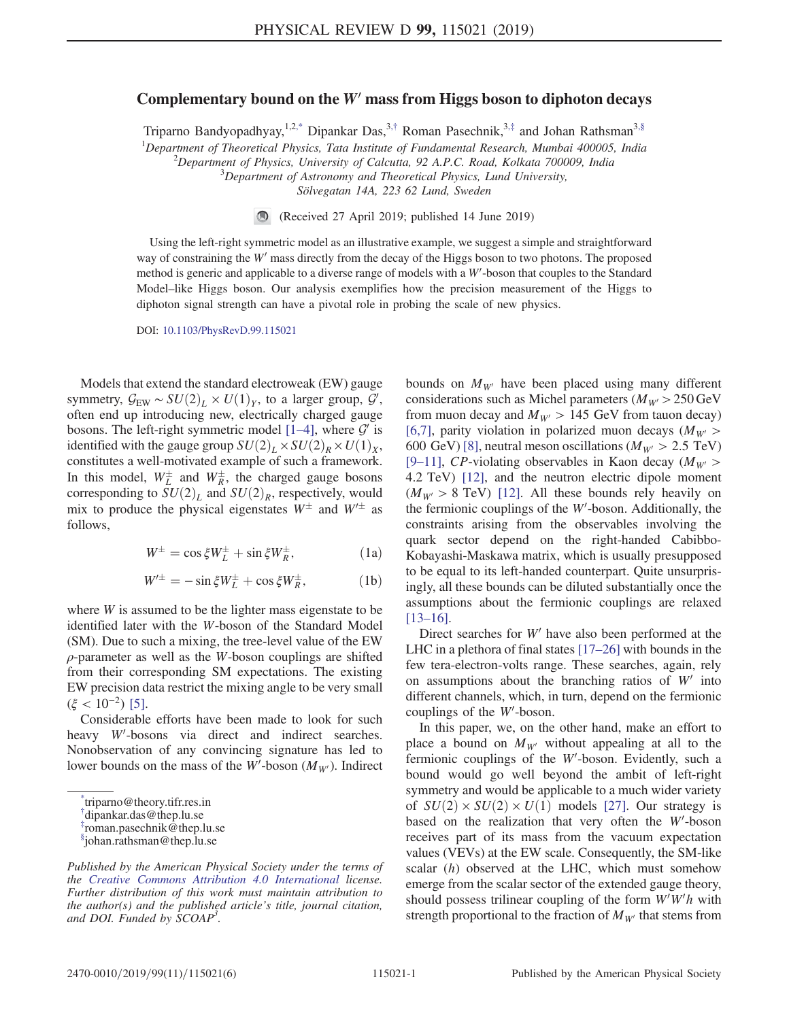## <span id="page-0-4"></span>Complementary bound on the  $W'$  mass from Higgs boson to diphoton decays

Triparno Bandyopadhyay,<sup>1,2[,\\*](#page-0-0)</sup> Dipankar Das,<sup>3,[†](#page-0-1)</sup> Roman Pasechnik,<sup>3,[‡](#page-0-2)</sup> and Johan Rathsman<sup>[3,§](#page-0-3)</sup>

<sup>1</sup>Department of Theoretical Physics, Tata Institute of Fundamental Research, Mumbai 400005, India  $\frac{2}{3}$ Department of Physics, University of Calcutta 02.4.B.C. Baad, Kollata 700000, India  $^2$ Department of Physics, University of Calcutta, 92 A.P.C. Road, Kolkata 700009, India

 $3$ Department of Astronomy and Theoretical Physics, Lund University,

Sölvegatan 14A, 223 62 Lund, Sweden

(Received 27 April 2019; published 14 June 2019)

Using the left-right symmetric model as an illustrative example, we suggest a simple and straightforward way of constraining the  $W'$  mass directly from the decay of the Higgs boson to two photons. The proposed method is generic and applicable to a diverse range of models with a  $W'$ -boson that couples to the Standard Model–like Higgs boson. Our analysis exemplifies how the precision measurement of the Higgs to diphoton signal strength can have a pivotal role in probing the scale of new physics.

DOI: [10.1103/PhysRevD.99.115021](https://doi.org/10.1103/PhysRevD.99.115021)

Models that extend the standard electroweak (EW) gauge symmetry,  $\mathcal{G}_{EW} \sim SU(2)_L \times U(1)_Y$ , to a larger group,  $\mathcal{G}'$ , often end up introducing new electrically charged gauge often end up introducing new, electrically charged gauge bosons. The left-right symmetric model  $[1-4]$  $[1-4]$ , where  $\mathcal{G}'$  is identified with the gauge group  $SU(2)_L \times SU(2)_R \times U(1)_X$ , constitutes a well-motivated example of such a framework. In this model,  $W_L^{\pm}$  and  $W_R^{\pm}$ , the charged gauge bosons corresponding to  $SU(2)_L$  and  $SU(2)_R$ , respectively, would mix to produce the physical eigenstates  $W^{\pm}$  and  $W'^{\pm}$  as follows,

$$
W^{\pm} = \cos\xi W^{\pm}_L + \sin\xi W^{\pm}_R, \tag{1a}
$$

$$
W^{\prime \pm} = -\sin \xi W_L^{\pm} + \cos \xi W_R^{\pm}, \qquad (1b)
$$

where W is assumed to be the lighter mass eigenstate to be identified later with the W-boson of the Standard Model (SM). Due to such a mixing, the tree-level value of the EW  $\rho$ -parameter as well as the W-boson couplings are shifted from their corresponding SM expectations. The existing EW precision data restrict the mixing angle to be very small  $(\xi < 10^{-2})$  [\[5\]](#page-4-1).

Considerable efforts have been made to look for such heavy  $W'$ -bosons via direct and indirect searches. Nonobservation of any convincing signature has led to lower bounds on the mass of the  $W'$ -boson  $(M_{W'})$ . Indirect bounds on  $M_{W}$  have been placed using many different considerations such as Michel parameters ( $M_{W} > 250$  GeV from muon decay and  $M_{W'} > 145$  GeV from tauon decay) [\[6,7\],](#page-4-2) parity violation in polarized muon decays ( $M_{W}$ ) 600 GeV) [\[8\],](#page-4-3) neutral meson oscillations ( $M_{W'} > 2.5$  TeV) [9–[11\],](#page-4-4) CP-violating observables in Kaon decay ( $M_{W}$ ) 4.2 TeV) [\[12\],](#page-4-5) and the neutron electric dipole moment  $(M_{W'} > 8$  TeV) [\[12\].](#page-4-5) All these bounds rely heavily on the fermionic couplings of the  $W'$ -boson. Additionally, the constraints arising from the observables involving the quark sector depend on the right-handed Cabibbo-Kobayashi-Maskawa matrix, which is usually presupposed to be equal to its left-handed counterpart. Quite unsurprisingly, all these bounds can be diluted substantially once the assumptions about the fermionic couplings are relaxed [\[13](#page-4-6)–16].

Direct searches for  $W'$  have also been performed at the LHC in a plethora of final states [\[17](#page-5-0)–26] with bounds in the few tera-electron-volts range. These searches, again, rely on assumptions about the branching ratios of  $W'$  into different channels, which, in turn, depend on the fermionic couplings of the  $W'$ -boson.

In this paper, we, on the other hand, make an effort to place a bound on  $M_{W}$  without appealing at all to the fermionic couplings of the  $W'$ -boson. Evidently, such a bound would go well beyond the ambit of left-right symmetry and would be applicable to a much wider variety of  $SU(2) \times SU(2) \times U(1)$  models [\[27\].](#page-5-1) Our strategy is based on the realization that very often the  $W'$ -boson receives part of its mass from the vacuum expectation values (VEVs) at the EW scale. Consequently, the SM-like scalar (h) observed at the LHC, which must somehow emerge from the scalar sector of the extended gauge theory, should possess trilinear coupling of the form  $W'W'h$  with strength proportional to the fraction of  $M_{W}$  that stems from

<span id="page-0-0"></span>[<sup>\\*</sup>](#page-0-4) triparno@theory.tifr.res.in

<span id="page-0-1"></span>[<sup>†</sup>](#page-0-4) dipankar.das@thep.lu.se

<span id="page-0-2"></span>[<sup>‡</sup>](#page-0-4) roman.pasechnik@thep.lu.se

<span id="page-0-3"></span>[<sup>§</sup>](#page-0-4) johan.rathsman@thep.lu.se

Published by the American Physical Society under the terms of the [Creative Commons Attribution 4.0 International](https://creativecommons.org/licenses/by/4.0/) license. Further distribution of this work must maintain attribution to the author(s) and the published article's title, journal citation, and DOI. Funded by SCOAP<sup>3</sup>.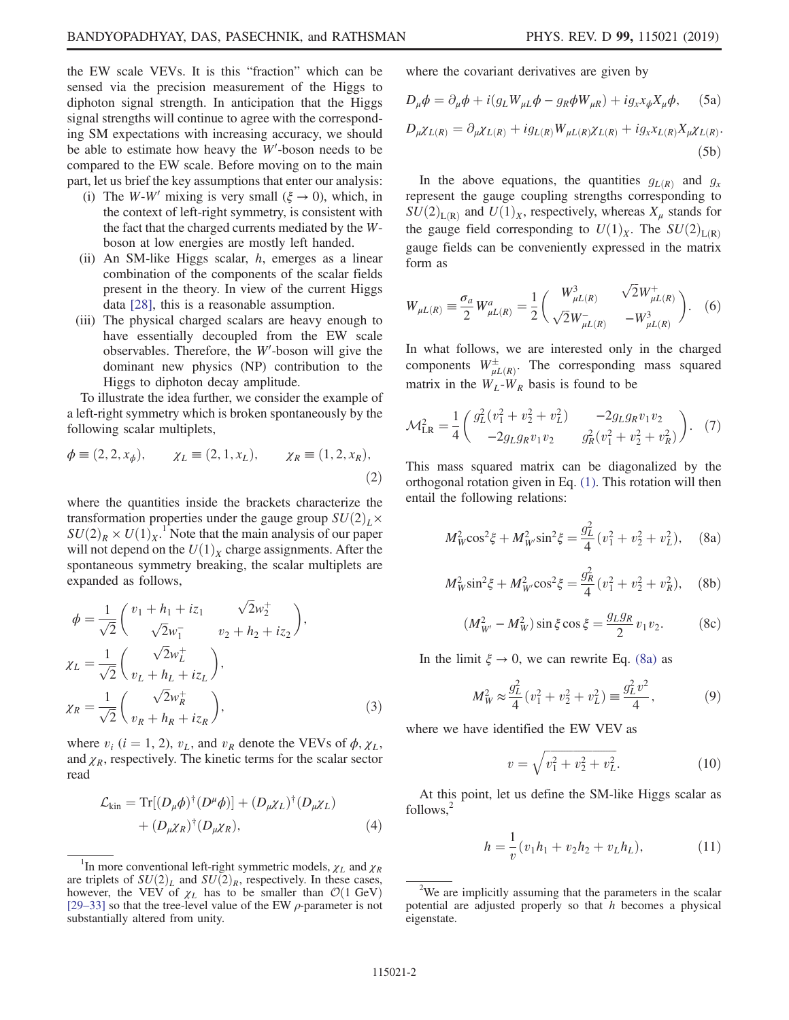the EW scale VEVs. It is this "fraction" which can be sensed via the precision measurement of the Higgs to diphoton signal strength. In anticipation that the Higgs signal strengths will continue to agree with the corresponding SM expectations with increasing accuracy, we should be able to estimate how heavy the  $W'$ -boson needs to be compared to the EW scale. Before moving on to the main part, let us brief the key assumptions that enter our analysis:

- (i) The W-W' mixing is very small ( $\xi \rightarrow 0$ ), which, in the context of left-right symmetry, is consistent with the fact that the charged currents mediated by the Wboson at low energies are mostly left handed.
- (ii) An SM-like Higgs scalar,  $h$ , emerges as a linear combination of the components of the scalar fields present in the theory. In view of the current Higgs data [\[28\]](#page-5-2), this is a reasonable assumption.
- (iii) The physical charged scalars are heavy enough to have essentially decoupled from the EW scale observables. Therefore, the  $W'$ -boson will give the dominant new physics (NP) contribution to the Higgs to diphoton decay amplitude.

<span id="page-1-5"></span>To illustrate the idea further, we consider the example of a left-right symmetry which is broken spontaneously by the following scalar multiplets,

$$
\phi \equiv (2, 2, x_{\phi}), \qquad \chi_L \equiv (2, 1, x_L), \qquad \chi_R \equiv (1, 2, x_R),
$$
\n(2)

where the quantities inside the brackets characterize the transformation properties under the gauge group  $SU(2)_L\times$  $SU(2)_R \times U(1)_X$ .<sup>1</sup> Note that the main analysis of our paper<br>will not depend on the  $U(1)_Y$  charge assignments. After the will not depend on the  $U(1)_X$  charge assignments. After the spontaneous symmetry breaking, the scalar multiplets are expanded as follows,

<span id="page-1-1"></span>
$$
\phi = \frac{1}{\sqrt{2}} \begin{pmatrix} v_1 + h_1 + iz_1 & \sqrt{2}w_2^+ \\ \sqrt{2}w_1^- & v_2 + h_2 + iz_2 \end{pmatrix},
$$
  
\n
$$
\chi_L = \frac{1}{\sqrt{2}} \begin{pmatrix} \sqrt{2}w_L^+ \\ v_L + h_L + iz_L \end{pmatrix},
$$
  
\n
$$
\chi_R = \frac{1}{\sqrt{2}} \begin{pmatrix} \sqrt{2}w_R^+ \\ v_R + h_R + iz_R \end{pmatrix},
$$
\n(3)

<span id="page-1-2"></span>where  $v_i$  (i = 1, 2),  $v_L$ , and  $v_R$  denote the VEVs of  $\phi$ ,  $\chi_L$ , and  $\chi_R$ , respectively. The kinetic terms for the scalar sector read

$$
\mathcal{L}_{kin} = \text{Tr}[(D_{\mu}\phi)^{\dagger}(D^{\mu}\phi)] + (D_{\mu}\chi_L)^{\dagger}(D_{\mu}\chi_L)
$$
  
+ 
$$
(D_{\mu}\chi_R)^{\dagger}(D_{\mu}\chi_R), \qquad (4)
$$

where the covariant derivatives are given by

$$
D_{\mu}\phi = \partial_{\mu}\phi + i(g_L W_{\mu L}\phi - g_R \phi W_{\mu R}) + ig_x x_{\phi} X_{\mu}\phi, \quad (5a)
$$

$$
D_{\mu}\chi_{L(R)} = \partial_{\mu}\chi_{L(R)} + ig_{L(R)}W_{\mu L(R)}\chi_{L(R)} + ig_{x}\chi_{L(R)}X_{\mu}\chi_{L(R)}.
$$
\n(5b)

In the above equations, the quantities  $g_{L(R)}$  and  $g_x$ represent the gauge coupling strengths corresponding to  $SU(2)_{L(R)}$  and  $U(1)_X$ , respectively, whereas  $X_\mu$  stands for the gauge field corresponding to  $U(1)_X$ . The  $SU(2)_{L(R)}$ gauge fields can be conveniently expressed in the matrix form as

$$
W_{\mu L(R)} \equiv \frac{\sigma_a}{2} W_{\mu L(R)}^a = \frac{1}{2} \begin{pmatrix} W_{\mu L(R)}^3 & \sqrt{2} W_{\mu L(R)}^+ \\ \sqrt{2} W_{\mu L(R)}^- & -W_{\mu L(R)}^3 \end{pmatrix} . \tag{6}
$$

In what follows, we are interested only in the charged components  $W^{\pm}_{\mu L(R)}$ . The corresponding mass squared matrix in the  $W_L-W_R$  basis is found to be

$$
\mathcal{M}_{LR}^2 = \frac{1}{4} \begin{pmatrix} g_L^2 (v_1^2 + v_2^2 + v_L^2) & -2g_L g_R v_1 v_2 \\ -2g_L g_R v_1 v_2 & g_R^2 (v_1^2 + v_2^2 + v_R^2) \end{pmatrix} . \tag{7}
$$

<span id="page-1-0"></span>This mass squared matrix can be diagonalized by the orthogonal rotation given in Eq. [\(1\)](#page-3-0). This rotation will then entail the following relations:

$$
M_W^2 \cos^2 \xi + M_{W'}^2 \sin^2 \xi = \frac{g_L^2}{4} (v_1^2 + v_2^2 + v_L^2), \quad \text{(8a)}
$$

<span id="page-1-4"></span>
$$
M_W^2 \sin^2 \xi + M_W^2 \cos^2 \xi = \frac{g_R^2}{4} (v_1^2 + v_2^2 + v_R^2), \quad \text{(8b)}
$$

$$
(M_{W'}^2 - M_W^2) \sin \xi \cos \xi = \frac{g_L g_R}{2} v_1 v_2.
$$
 (8c)

<span id="page-1-3"></span>In the limit  $\xi \to 0$ , we can rewrite Eq. [\(8a\)](#page-1-0) as

$$
M_W^2 \approx \frac{g_L^2}{4} (v_1^2 + v_2^2 + v_L^2) \equiv \frac{g_L^2 v^2}{4},\tag{9}
$$

where we have identified the EW VEV as

$$
v = \sqrt{v_1^2 + v_2^2 + v_L^2}.\tag{10}
$$

<span id="page-1-6"></span>At this point, let us define the SM-like Higgs scalar as follows.<sup>2</sup>

$$
h = \frac{1}{v}(v_1h_1 + v_2h_2 + v_Lh_L),
$$
 (11)

<sup>&</sup>lt;sup>1</sup>In more conventional left-right symmetric models,  $\chi_L$  and  $\chi_R$ are triplets of  $SU(2)_L$  and  $SU(2)_R$ , respectively. In these cases,<br>however, the VEV of  $\gamma_L$  has to be smaller than  $O(1 \text{ GeV})$ however, the VEV of  $\chi_L$  has to be smaller than  $\mathcal{O}(1 \text{ GeV})$ <br>[29–33] so that the tree-level value of the EW  $\rho$ -parameter is not [\[29](#page-5-3)–33] so that the tree-level value of the EW  $\rho$ -parameter is not substantially altered from unity.

 $2$ We are implicitly assuming that the parameters in the scalar potential are adjusted properly so that  $h$  becomes a physical eigenstate.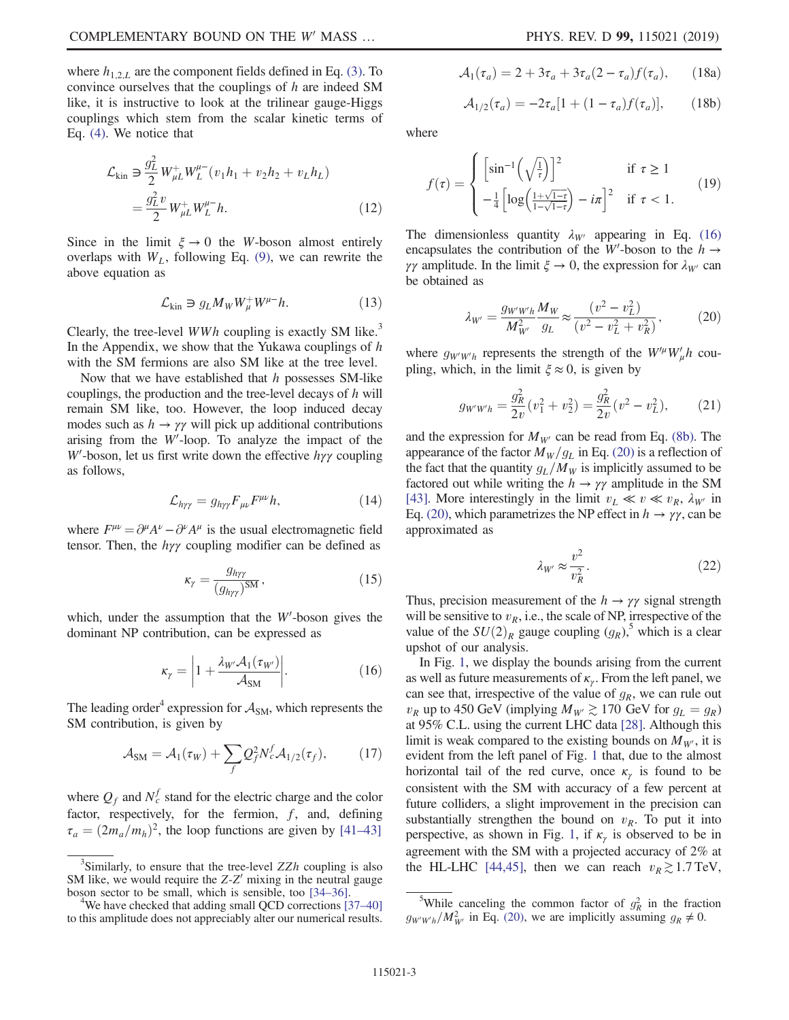where  $h_{1,2,L}$  are the component fields defined in Eq. [\(3\)](#page-1-1). To convince ourselves that the couplings of h are indeed SM like, it is instructive to look at the trilinear gauge-Higgs couplings which stem from the scalar kinetic terms of Eq. [\(4\).](#page-1-2) We notice that

$$
\mathcal{L}_{\text{kin}} \ni \frac{g_L^2}{2} W_{\mu L}^+ W_L^{\mu -} (v_1 h_1 + v_2 h_2 + v_L h_L)
$$
  
= 
$$
\frac{g_L^2 v}{2} W_{\mu L}^+ W_L^{\mu -} h.
$$
 (12)

Since in the limit  $\xi \to 0$  the W-boson almost entirely overlaps with  $W_L$ , following Eq. [\(9\),](#page-1-3) we can rewrite the above equation as

$$
\mathcal{L}_{\text{kin}} \ni g_L M_W W^+_\mu W^{\mu -} h. \tag{13}
$$

Clearly, the tree-level  $WWh$  coupling is exactly SM like.<sup>3</sup> In the Appendix, we show that the Yukawa couplings of  $h$ with the SM fermions are also SM like at the tree level.

Now that we have established that  $h$  possesses SM-like couplings, the production and the tree-level decays of h will remain SM like, too. However, the loop induced decay modes such as  $h \to \gamma \gamma$  will pick up additional contributions arising from the  $W'$ -loop. To analyze the impact of the W'-boson, let us first write down the effective  $h\gamma\gamma$  coupling as follows,

$$
\mathcal{L}_{h\gamma\gamma} = g_{h\gamma\gamma} F_{\mu\nu} F^{\mu\nu} h,\tag{14}
$$

where  $F^{\mu\nu} = \partial^{\mu}A^{\nu} - \partial^{\nu}A^{\mu}$  is the usual electromagnetic field tensor. Then, the  $h\gamma\gamma$  coupling modifier can be defined as

$$
\kappa_{\gamma} = \frac{g_{h\gamma\gamma}}{(g_{h\gamma\gamma})^{\text{SM}}},\tag{15}
$$

<span id="page-2-0"></span>which, under the assumption that the  $W'$ -boson gives the dominant NP contribution, can be expressed as

$$
\kappa_{\gamma} = \left| 1 + \frac{\lambda_{W'} \mathcal{A}_1(\tau_{W'})}{\mathcal{A}_{\text{SM}}} \right|.
$$
 (16)

The leading order<sup>4</sup> expression for  $A_{SM}$ , which represents the SM contribution, is given by

$$
\mathcal{A}_{\rm SM} = \mathcal{A}_1(\tau_W) + \sum_f Q_f^2 N_c^f \mathcal{A}_{1/2}(\tau_f), \qquad (17)
$$

where  $Q_f$  and  $N_c^f$  stand for the electric charge and the color factor, respectively, for the fermion,  $f$ , and, defining  $\tau_a = (2m_a/m_h)^2$ , the loop functions are given by [41–[43\]](#page-5-4)

$$
\mathcal{A}_1(\tau_a) = 2 + 3\tau_a + 3\tau_a (2 - \tau_a) f(\tau_a), \qquad (18a)
$$

$$
\mathcal{A}_{1/2}(\tau_a) = -2\tau_a[1 + (1 - \tau_a)f(\tau_a)],\qquad(18b)
$$

where

$$
f(\tau) = \begin{cases} \left[\sin^{-1}\left(\sqrt{\frac{1}{\tau}}\right)\right]^2 & \text{if } \tau \ge 1\\ -\frac{1}{4}\left[\log\left(\frac{1+\sqrt{1-\tau}}{1-\sqrt{1-\tau}}\right) - i\pi\right]^2 & \text{if } \tau < 1. \end{cases}
$$
(19)

<span id="page-2-1"></span>The dimensionless quantity  $\lambda_{W'}$  appearing in Eq. [\(16\)](#page-2-0) encapsulates the contribution of the W'-boson to the  $h \rightarrow$ γγ amplitude. In the limit  $\xi \to 0$ , the expression for  $\lambda_{W'}$  can be obtained as

$$
\lambda_{W'} = \frac{g_{W'W'h}}{M_{W'}^2} \frac{M_W}{g_L} \approx \frac{(v^2 - v_L^2)}{(v^2 - v_L^2 + v_R^2)},\tag{20}
$$

where  $g_{W'W'h}$  represents the strength of the  $W'^{\mu}W'_{\mu}h$  coupling, which, in the limit  $\xi \approx 0$ , is given by

$$
g_{W'W'h} = \frac{g_R^2}{2v}(v_1^2 + v_2^2) = \frac{g_R^2}{2v}(v^2 - v_L^2),\tag{21}
$$

and the expression for  $M_{W}$  can be read from Eq. [\(8b\)](#page-1-4). The appearance of the factor  $M_W/g_L$  in Eq. [\(20\)](#page-2-1) is a reflection of the fact that the quantity  $g_L/M_W$  is implicitly assumed to be factored out while writing the  $h \to \gamma \gamma$  amplitude in the SM [\[43\].](#page-5-5) More interestingly in the limit  $v_L \ll v \ll v_R$ ,  $\lambda_{W'}$  in Eq. [\(20\),](#page-2-1) which parametrizes the NP effect in  $h \to \gamma \gamma$ , can be approximated as

$$
\lambda_{W'} \approx \frac{v^2}{v_R^2} \,. \tag{22}
$$

Thus, precision measurement of the  $h \to \gamma \gamma$  signal strength will be sensitive to  $v_R$ , i.e., the scale of NP, irrespective of the value of the  $SU(2)_R$  gauge coupling  $(g_R)$ ,<sup>5</sup> which is a clear upshot of our analysis.

In Fig. [1](#page-3-1), we display the bounds arising from the current as well as future measurements of  $\kappa_{\gamma}$ . From the left panel, we can see that, irrespective of the value of  $g_R$ , we can rule out  $v_R$  up to 450 GeV (implying  $M_{W'} \gtrsim 170$  GeV for  $g_L = g_R$ ) at 95% C.L. using the current LHC data [\[28\].](#page-5-2) Although this limit is weak compared to the existing bounds on  $M_{W}$ , it is evident from the left panel of Fig. [1](#page-3-1) that, due to the almost horizontal tail of the red curve, once  $\kappa_{\gamma}$  is found to be consistent with the SM with accuracy of a few percent at future colliders, a slight improvement in the precision can substantially strengthen the bound on  $v_R$ . To put it into perspective, as shown in Fig. [1,](#page-3-1) if  $\kappa_{\gamma}$  is observed to be in agreement with the SM with a projected accuracy of 2% at the HL-LHC [\[44,45\]](#page-5-6), then we can reach  $v_R \gtrsim 1.7 \text{ TeV}$ ,

<sup>&</sup>lt;sup>3</sup>Similarly, to ensure that the tree-level  $ZZh$  coupling is also SM like, we would require the  $Z-Z'$  mixing in the neutral gauge boson sector to be small, which is sensible, too [\[34](#page-5-7)–36]. <sup>4</sup>

We have checked that adding small QCD corrections [\[37](#page-5-8)-40] to this amplitude does not appreciably alter our numerical results.

<sup>&</sup>lt;sup>5</sup>While canceling the common factor of  $g_R^2$  in the fraction  $g_{W'W'h}/M_{W'}^2$  in Eq. [\(20\),](#page-2-1) we are implicitly assuming  $g_R \neq 0$ .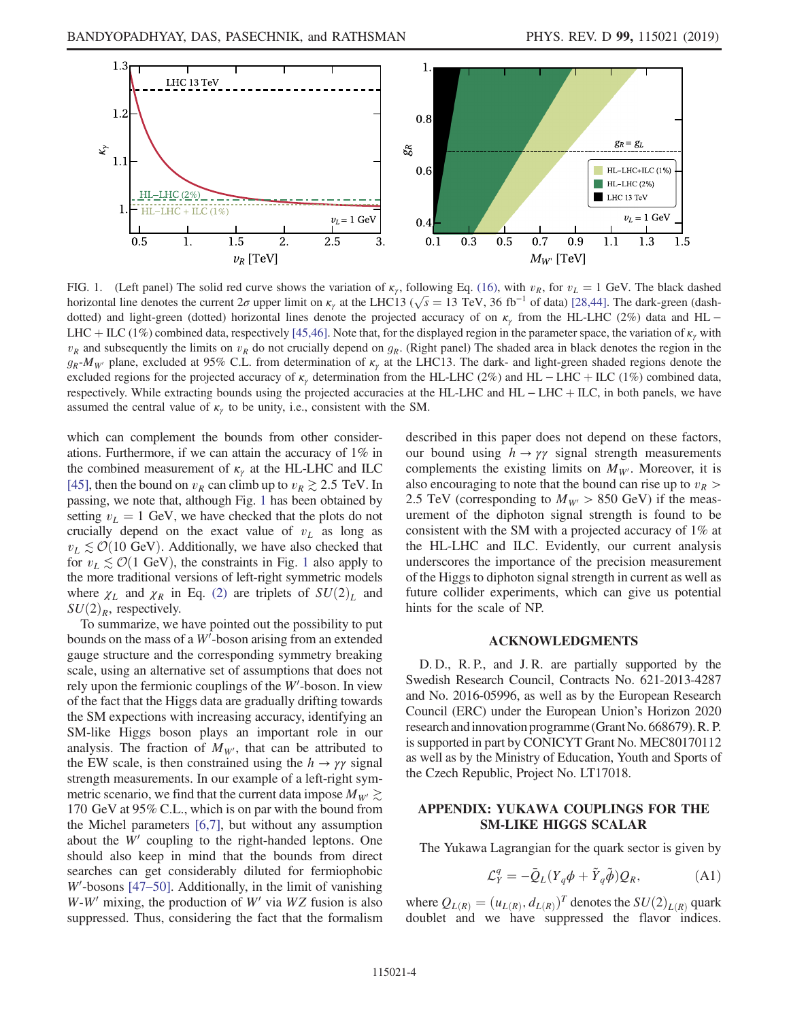<span id="page-3-1"></span>

FIG. 1. (Left panel) The solid red curve shows the variation of  $\kappa_{\gamma}$ , following Eq. [\(16\)](#page-2-0), with  $v_R$ , for  $v_L = 1$  GeV. The black dashed horizontal line denotes the current  $2\sigma$  upper limit on  $\kappa_{\gamma}$  at the LHC13 ( $\sqrt{s} = 13$  TeV, 36 fb<sup>-1</sup> of data) [\[28,44\].](#page-5-2) The dark-green (dash-<br>dotted) and light green (dotted) borizontal lines denote the projected acc dotted) and light-green (dotted) horizontal lines denote the projected accuracy of on  $\kappa_{\gamma}$  from the HL-LHC (2%) data and HL − LHC + ILC (1%) combined data, respectively [\[45,46\]](#page-5-9). Note that, for the displayed region in the parameter space, the variation of  $\kappa<sub>r</sub>$  with  $v_R$  and subsequently the limits on  $v_R$  do not crucially depend on  $g_R$ . (Right panel) The shaded area in black denotes the region in the  $g_R-M_{W'}$  plane, excluded at 95% C.L. from determination of  $\kappa<sub>\gamma</sub>$  at the LHC13. The dark- and light-green shaded regions denote the excluded regions for the projected accuracy of  $\kappa_{\gamma}$  determination from the HL-LHC (2%) and HL – LHC + ILC (1%) combined data, respectively. While extracting bounds using the projected accuracies at the HL-LHC and HL − LHC + ILC, in both panels, we have assumed the central value of  $\kappa_{\gamma}$  to be unity, i.e., consistent with the SM.

which can complement the bounds from other considerations. Furthermore, if we can attain the accuracy of 1% in the combined measurement of  $\kappa_{\gamma}$  at the HL-LHC and ILC [\[45\],](#page-5-9) then the bound on  $v_R$  can climb up to  $v_R \gtrsim 2.5$  TeV. In passing, we note that, although Fig. [1](#page-3-1) has been obtained by setting  $v_L = 1$  GeV, we have checked that the plots do not crucially depend on the exact value of  $v<sub>L</sub>$  as long as  $v_L \lesssim \mathcal{O}(10 \text{ GeV})$ . Additionally, we have also checked that for  $v_L \lesssim \mathcal{O}(1 \text{ GeV})$  $v_L \lesssim \mathcal{O}(1 \text{ GeV})$  $v_L \lesssim \mathcal{O}(1 \text{ GeV})$ , the constraints in Fig. 1 also apply to the more traditional versions of left-right symmetric models where  $\chi_L$  and  $\chi_R$  in Eq. [\(2\)](#page-1-5) are triplets of  $SU(2)_L$  and  $SU(2)_R$ , respectively.

To summarize, we have pointed out the possibility to put bounds on the mass of a  $W'$ -boson arising from an extended gauge structure and the corresponding symmetry breaking scale, using an alternative set of assumptions that does not rely upon the fermionic couplings of the  $W'$ -boson. In view of the fact that the Higgs data are gradually drifting towards the SM expections with increasing accuracy, identifying an SM-like Higgs boson plays an important role in our analysis. The fraction of  $M_{W}$ , that can be attributed to the EW scale, is then constrained using the  $h \to \gamma \gamma$  signal strength measurements. In our example of a left-right symmetric scenario, we find that the current data impose  $M_{W'} \gtrsim$ 170 GeV at 95% C.L., which is on par with the bound from the Michel parameters [\[6,7\]](#page-4-2), but without any assumption about the  $W'$  coupling to the right-handed leptons. One should also keep in mind that the bounds from direct searches can get considerably diluted for fermiophobic  $W'$ -bosons [\[47](#page-5-10)–50]. Additionally, in the limit of vanishing  $W-W'$  mixing, the production of  $W'$  via  $WZ$  fusion is also suppressed. Thus, considering the fact that the formalism described in this paper does not depend on these factors, our bound using  $h \rightarrow \gamma \gamma$  signal strength measurements complements the existing limits on  $M_{W}$ . Moreover, it is also encouraging to note that the bound can rise up to  $v_R$ 2.5 TeV (corresponding to  $M_{W'} > 850$  GeV) if the measurement of the diphoton signal strength is found to be consistent with the SM with a projected accuracy of 1% at the HL-LHC and ILC. Evidently, our current analysis underscores the importance of the precision measurement of the Higgs to diphoton signal strength in current as well as future collider experiments, which can give us potential hints for the scale of NP.

## ACKNOWLEDGMENTS

D. D., R. P., and J. R. are partially supported by the Swedish Research Council, Contracts No. 621-2013-4287 and No. 2016-05996, as well as by the European Research Council (ERC) under the European Union's Horizon 2020 research andinnovation programme (Grant No. 668679).R. P. is supported in part by CONICYT Grant No. MEC80170112 as well as by the Ministry of Education, Youth and Sports of the Czech Republic, Project No. LT17018.

## APPENDIX: YUKAWA COUPLINGS FOR THE SM-LIKE HIGGS SCALAR

<span id="page-3-0"></span>The Yukawa Lagrangian for the quark sector is given by

$$
\mathcal{L}_Y^q = -\bar{Q}_L (Y_q \phi + \tilde{Y}_q \tilde{\phi}) Q_R, \tag{A1}
$$

where  $Q_{L(R)} = (u_{L(R)}, d_{L(R)})^T$  denotes the  $SU(2)_{L(R)}$  quark doublet and we have suppressed the flavor indices.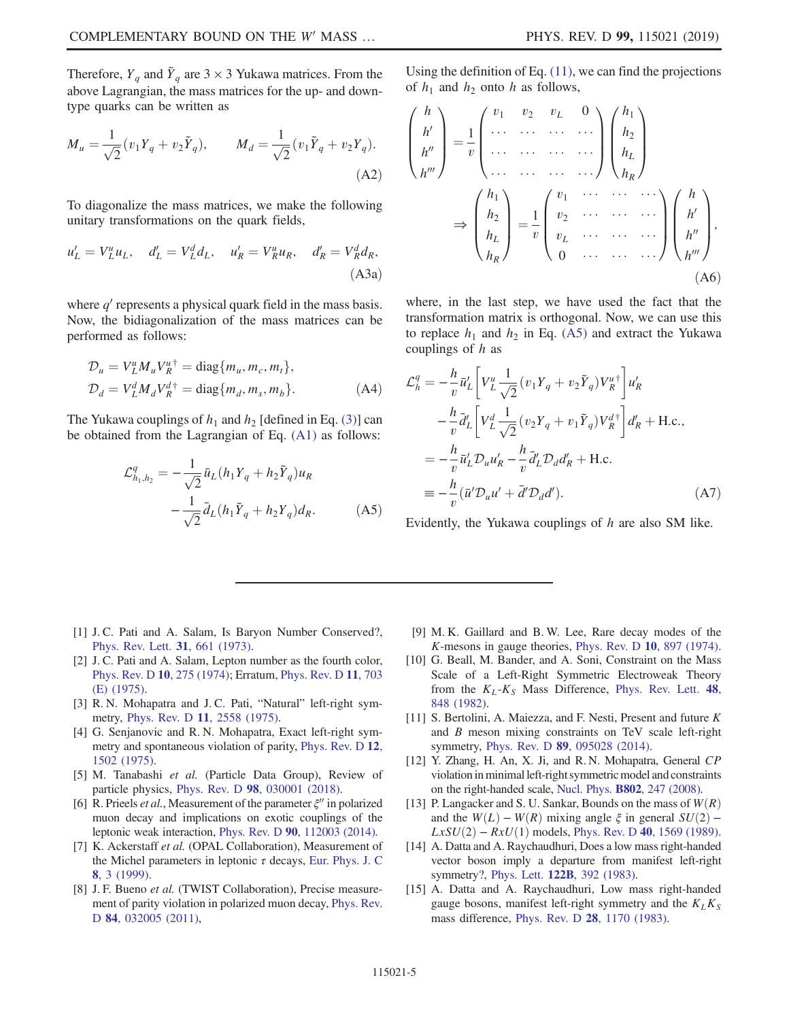Therefore,  $Y_q$  and  $\tilde{Y}_q$  are 3 × 3 Yukawa matrices. From the above Lagrangian, the mass matrices for the up- and downtype quarks can be written as

$$
M_u = \frac{1}{\sqrt{2}} (v_1 Y_q + v_2 \tilde{Y}_q), \qquad M_d = \frac{1}{\sqrt{2}} (v_1 \tilde{Y}_q + v_2 Y_q).
$$
\n(A2)

To diagonalize the mass matrices, we make the following unitary transformations on the quark fields,

$$
u'_{L} = V_{L}^{u} u_{L}, \quad d'_{L} = V_{L}^{d} d_{L}, \quad u'_{R} = V_{R}^{u} u_{R}, \quad d'_{R} = V_{R}^{d} d_{R},
$$
\n(A3a)

where  $q'$  represents a physical quark field in the mass basis. Now, the bidiagonalization of the mass matrices can be performed as follows:

$$
\mathcal{D}_u = V_L^u M_u V_R^{u\dagger} = \text{diag}\{m_u, m_c, m_t\},
$$
  
\n
$$
\mathcal{D}_d = V_L^d M_d V_R^{d\dagger} = \text{diag}\{m_d, m_s, m_b\}.
$$
 (A4)

<span id="page-4-7"></span>The Yukawa couplings of  $h_1$  and  $h_2$  [defined in Eq. [\(3\)\]](#page-1-1) can be obtained from the Lagrangian of Eq. [\(A1\)](#page-3-0) as follows:

$$
\mathcal{L}_{h_1, h_2}^q = -\frac{1}{\sqrt{2}} \bar{u}_L (h_1 Y_q + h_2 \tilde{Y}_q) u_R \n- \frac{1}{\sqrt{2}} \bar{d}_L (h_1 \tilde{Y}_q + h_2 Y_q) d_R.
$$
\n(A5)

Using the definition of Eq. [\(11\)](#page-1-6), we can find the projections of  $h_1$  and  $h_2$  onto h as follows,

$$
\begin{pmatrix}\nh \\
h' \\
h''\n\end{pmatrix} = \frac{1}{v} \begin{pmatrix}\nv_1 & v_2 & v_L & 0 \\
\cdots & \cdots & \cdots & \cdots \\
\cdots & \cdots & \cdots & \cdots \\
\cdots & \cdots & \cdots & \cdots \\
\cdots & \cdots & \cdots & \cdots\n\end{pmatrix} \begin{pmatrix}\nh_1 \\
h_2 \\
h_L \\
\vdots \\
h_R\n\end{pmatrix}
$$
\n
$$
\Rightarrow \begin{pmatrix}\nh_1 \\
h_2 \\
h_2 \\
h_L \\
h_L\n\end{pmatrix} = \frac{1}{v} \begin{pmatrix}\nv_1 & \cdots & \cdots & \cdots \\
v_2 & \cdots & \cdots & \cdots \\
v_L & \cdots & \cdots & \cdots \\
0 & \cdots & \cdots & \cdots\n\end{pmatrix} \begin{pmatrix}\nh \\
h' \\
h'' \\
h''\n\end{pmatrix},
$$
\n(A6)

where, in the last step, we have used the fact that the transformation matrix is orthogonal. Now, we can use this to replace  $h_1$  and  $h_2$  in Eq. [\(A5\)](#page-4-7) and extract the Yukawa couplings of h as

$$
\mathcal{L}_h^q = -\frac{h}{v} \bar{u}_L' \left[ V_L^u \frac{1}{\sqrt{2}} (v_1 Y_q + v_2 \tilde{Y}_q) V_R^{u^+} \right] u_R'
$$
  
\n
$$
-\frac{h}{v} \bar{d}_L' \left[ V_L^d \frac{1}{\sqrt{2}} (v_2 Y_q + v_1 \tilde{Y}_q) V_R^{d^+} \right] d_R' + \text{H.c.},
$$
  
\n
$$
= -\frac{h}{v} \bar{u}_L' \mathcal{D}_u u_R' - \frac{h}{v} \bar{d}_L' \mathcal{D}_d d_R' + \text{H.c.}
$$
  
\n
$$
\equiv -\frac{h}{v} (\bar{u}' \mathcal{D}_u u' + \bar{d}' \mathcal{D}_d d'). \tag{A7}
$$

Evidently, the Yukawa couplings of h are also SM like.

- <span id="page-4-0"></span>[1] J. C. Pati and A. Salam, Is Baryon Number Conserved?, [Phys. Rev. Lett.](https://doi.org/10.1103/PhysRevLett.31.661) 31, 661 (1973).
- [2] J. C. Pati and A. Salam, Lepton number as the fourth color, [Phys. Rev. D](https://doi.org/10.1103/PhysRevD.10.275) 10, 275 (1974); Erratum, [Phys. Rev. D](https://doi.org/10.1103/PhysRevD.11.703.2) 11, 703 [\(E\) \(1975\)](https://doi.org/10.1103/PhysRevD.11.703.2).
- [3] R. N. Mohapatra and J. C. Pati, "Natural" left-right symmetry, Phys. Rev. D 11[, 2558 \(1975\).](https://doi.org/10.1103/PhysRevD.11.2558)
- [4] G. Senjanovic and R. N. Mohapatra, Exact left-right symmetry and spontaneous violation of parity, [Phys. Rev. D](https://doi.org/10.1103/PhysRevD.12.1502) 12, [1502 \(1975\)](https://doi.org/10.1103/PhysRevD.12.1502).
- <span id="page-4-1"></span>[5] M. Tanabashi et al. (Particle Data Group), Review of particle physics, Phys. Rev. D 98[, 030001 \(2018\).](https://doi.org/10.1103/PhysRevD.98.030001)
- <span id="page-4-2"></span>[6] R. Prieels *et al.*, Measurement of the parameter  $\xi''$  in polarized muon decay and implications on exotic couplings of the leptonic weak interaction, Phys. Rev. D 90[, 112003 \(2014\)](https://doi.org/10.1103/PhysRevD.90.112003).
- [7] K. Ackerstaff et al. (OPAL Collaboration), Measurement of the Michel parameters in leptonic  $\tau$  decays, [Eur. Phys. J. C](https://doi.org/10.1007/s100520050441) 8[, 3 \(1999\)](https://doi.org/10.1007/s100520050441).
- <span id="page-4-3"></span>[8] J. F. Bueno et al. (TWIST Collaboration), Precise measurement of parity violation in polarized muon decay, [Phys. Rev.](https://doi.org/10.1103/PhysRevD.84.032005) D 84[, 032005 \(2011\)](https://doi.org/10.1103/PhysRevD.84.032005),
- <span id="page-4-4"></span>[9] M. K. Gaillard and B. W. Lee, Rare decay modes of the K-mesons in gauge theories, [Phys. Rev. D](https://doi.org/10.1103/PhysRevD.10.897) 10, 897 (1974).
- [10] G. Beall, M. Bander, and A. Soni, Constraint on the Mass Scale of a Left-Right Symmetric Electroweak Theory from the  $K_L$ - $K_S$  Mass Difference, [Phys. Rev. Lett.](https://doi.org/10.1103/PhysRevLett.48.848) 48, [848 \(1982\)](https://doi.org/10.1103/PhysRevLett.48.848).
- [11] S. Bertolini, A. Maiezza, and F. Nesti, Present and future K and B meson mixing constraints on TeV scale left-right symmetry, Phys. Rev. D 89[, 095028 \(2014\)](https://doi.org/10.1103/PhysRevD.89.095028).
- <span id="page-4-5"></span>[12] Y. Zhang, H. An, X. Ji, and R. N. Mohapatra, General CP violation in minimal left-right symmetric model and constraints on the right-handed scale, Nucl. Phys. B802[, 247 \(2008\).](https://doi.org/10.1016/j.nuclphysb.2008.05.019)
- <span id="page-4-6"></span>[13] P. Langacker and S. U. Sankar, Bounds on the mass of  $W(R)$ and the  $W(L) - W(R)$  mixing angle  $\xi$  in general  $SU(2)$  –  $LxSU(2) - RxU(1)$  models, Phys. Rev. D 40[, 1569 \(1989\).](https://doi.org/10.1103/PhysRevD.40.1569)
- [14] A. Datta and A. Raychaudhuri, Does a low mass right-handed vector boson imply a departure from manifest left-right symmetry?, Phys. Lett. 122B[, 392 \(1983\)](https://doi.org/10.1016/0370-2693(83)91589-7).
- [15] A. Datta and A. Raychaudhuri, Low mass right-handed gauge bosons, manifest left-right symmetry and the  $K_L K_S$ mass difference, Phys. Rev. D 28[, 1170 \(1983\).](https://doi.org/10.1103/PhysRevD.28.1170)